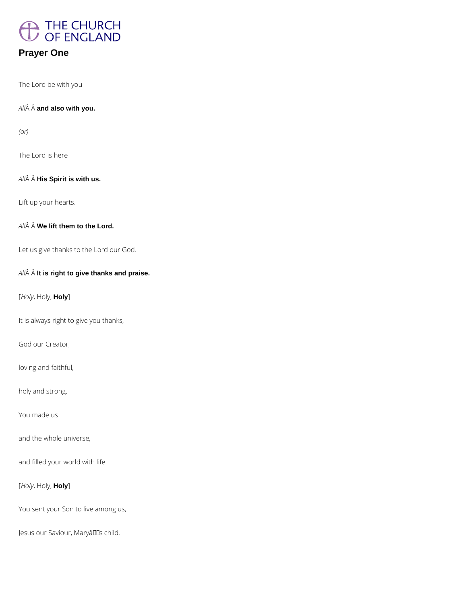

## **Prayer One**

The Lord be with you

*All* **and also with you.**

*(or)*

The Lord is here

**All** $\hat{A}$  **A** His Spirit is with us.

Lift up your hearts.

*All* **We lift them to the Lord.**

Let us give thanks to the Lord our God.

*All* **It is right to give thanks and praise.**

[*Holy*, Holy, **Holy**]

It is always right to give you thanks,

God our Creator,

loving and faithful,

holy and strong.

You made us

and the whole universe,

and filled your world with life.

[*Holy*, Holy, **Holy**]

You sent your Son to live among us,

Jesus our Saviour, Maryâllas child.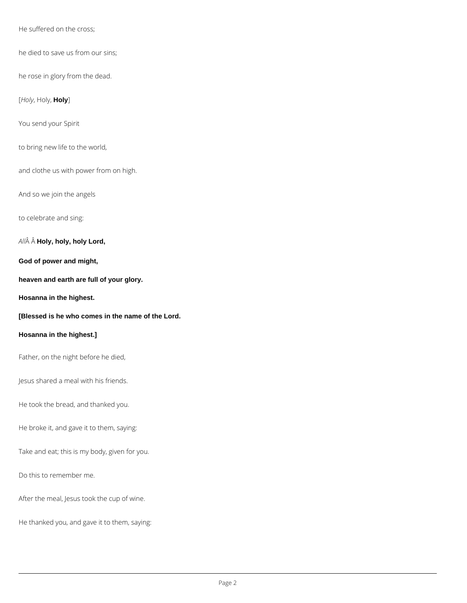He suffered on the cross;

he died to save us from our sins;

he rose in glory from the dead.

[*Holy*, Holy, **Holy**]

You send your Spirit

to bring new life to the world,

and clothe us with power from on high.

And so we join the angels

to celebrate and sing:

*All* **Holy, holy, holy Lord,**

**God of power and might,**

**heaven and earth are full of your glory.**

**Hosanna in the highest.**

**[Blessed is he who comes in the name of the Lord.**

## **Hosanna in the highest.]**

Father, on the night before he died,

Jesus shared a meal with his friends.

He took the bread, and thanked you.

He broke it, and gave it to them, saying:

Take and eat; this is my body, given for you.

Do this to remember me.

After the meal, Jesus took the cup of wine.

He thanked you, and gave it to them, saying: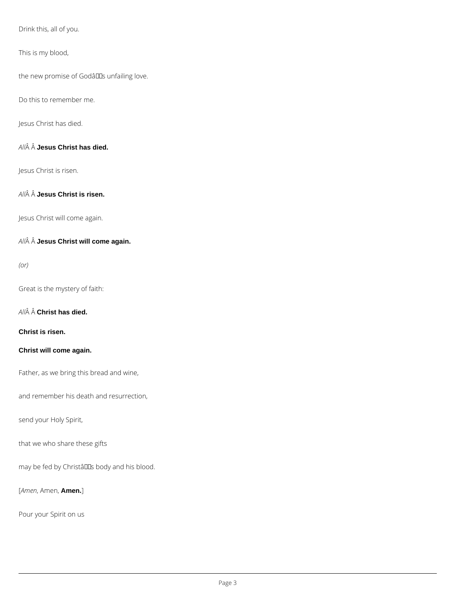Drink this, all of you.

This is my blood,

the new promise of Godâlls unfailing love.

Do this to remember me.

Jesus Christ has died.

*All* **Jesus Christ has died.**

Jesus Christ is risen.

*All* **Jesus Christ is risen.**

Jesus Christ will come again.

*All* **Jesus Christ will come again.**

*(or)*

Great is the mystery of faith:

*All* **Christ has died.**

**Christ is risen.**

**Christ will come again.**

Father, as we bring this bread and wine,

and remember his death and resurrection,

send your Holy Spirit,

that we who share these gifts

may be fed by Christâlls body and his blood.

[*Amen*, Amen, **Amen.**]

Pour your Spirit on us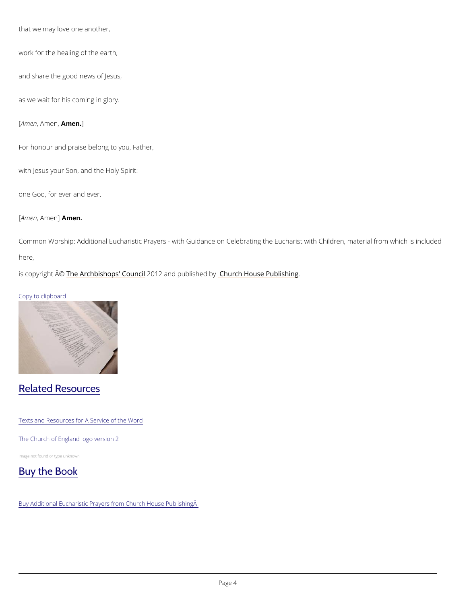that we may love one another,

work for the healing of the earth,

and share the good news of Jesus,

as we wait for his coming in glory.

 $[A \text{ m } \text{e } nA \text{ m } \text{A} \text{m} \text{e} n.]$ 

For honour and praise belong to you, Father,

Common Worship: Additional Eucharistic Prayers - with Guidance on Celebrating the Eucharis here,

is copyright  $\hat{\mathbb{A}}$  @Archbishops' 200d (2n and publish held roby House Publishing

with Jesus your Son, and the Holy Spirit:

one God, for ever and ever.

 $[A \text{ m } \theta \text{ n } A \text{ m } \theta \text{ m } \theta \text{ n}].$ 

Copy to clipboard

## Related Resources

Texts and Resources for A Service of the Word

The Church of England logo version 2

Image not found or type unknown



Buy Additional Eucharistic Prayers from Church House Publishing